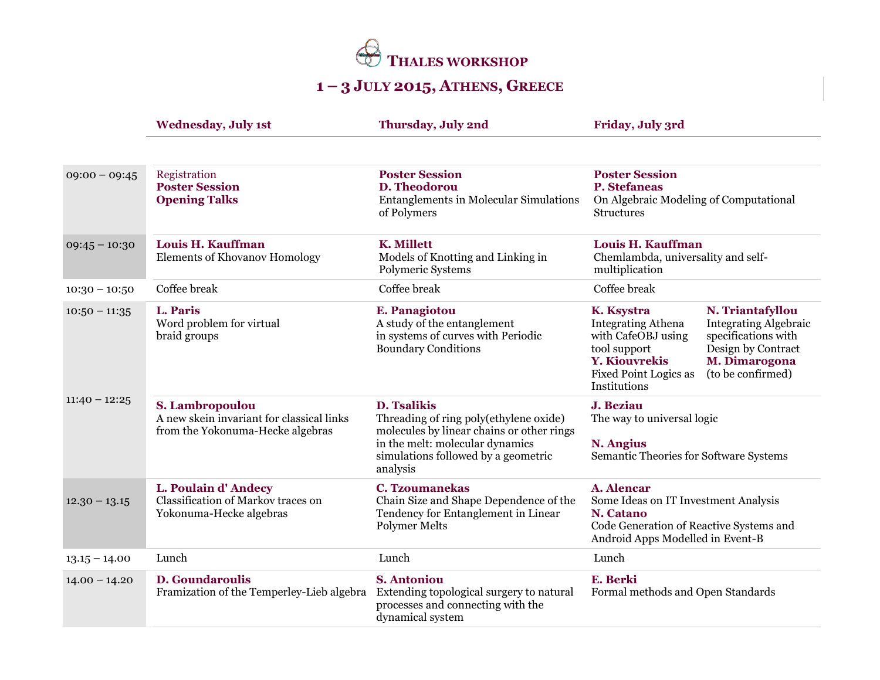

## **1 – 3 JULY 2015, ATHENS, GREECE**

|                                    | <b>Wednesday, July 1st</b>                                                                                   | Thursday, July 2nd                                                                                                                                                                              | Friday, July 3rd                                                                                                                                                                                                                                                                             |
|------------------------------------|--------------------------------------------------------------------------------------------------------------|-------------------------------------------------------------------------------------------------------------------------------------------------------------------------------------------------|----------------------------------------------------------------------------------------------------------------------------------------------------------------------------------------------------------------------------------------------------------------------------------------------|
| $09:00 - 09:45$                    | Registration<br><b>Poster Session</b><br><b>Opening Talks</b>                                                | <b>Poster Session</b><br>D. Theodorou<br><b>Entanglements in Molecular Simulations</b><br>of Polymers                                                                                           | <b>Poster Session</b><br><b>P.</b> Stefaneas<br>On Algebraic Modeling of Computational<br><b>Structures</b>                                                                                                                                                                                  |
| $09:45 - 10:30$                    | Louis H. Kauffman<br><b>Elements of Khovanov Homology</b>                                                    | <b>K. Millett</b><br>Models of Knotting and Linking in<br>Polymeric Systems                                                                                                                     | Louis H. Kauffman<br>Chemlambda, universality and self-<br>multiplication                                                                                                                                                                                                                    |
| $10:30 - 10:50$                    | Coffee break                                                                                                 | Coffee break                                                                                                                                                                                    | Coffee break                                                                                                                                                                                                                                                                                 |
| $10:50 - 11:35$<br>$11:40 - 12:25$ | L. Paris<br>Word problem for virtual<br>braid groups                                                         | E. Panagiotou<br>A study of the entanglement<br>in systems of curves with Periodic<br><b>Boundary Conditions</b>                                                                                | N. Triantafyllou<br>K. Ksystra<br><b>Integrating Athena</b><br><b>Integrating Algebraic</b><br>specifications with<br>with CafeOBJ using<br>Design by Contract<br>tool support<br>M. Dimarogona<br><b>Y. Kiouvrekis</b><br><b>Fixed Point Logics as</b><br>(to be confirmed)<br>Institutions |
|                                    | S. Lambropoulou<br>A new skein invariant for classical links<br>from the Yokonuma-Hecke algebras             | <b>D. Tsalikis</b><br>Threading of ring poly(ethylene oxide)<br>molecules by linear chains or other rings<br>in the melt: molecular dynamics<br>simulations followed by a geometric<br>analysis | J. Beziau<br>The way to universal logic<br><b>N. Angius</b><br>Semantic Theories for Software Systems                                                                                                                                                                                        |
| $12.30 - 13.15$                    | L. Poulain d'Andecy<br>Classification of Markov traces on<br>Yokonuma-Hecke algebras                         | <b>C. Tzoumanekas</b><br>Chain Size and Shape Dependence of the<br>Tendency for Entanglement in Linear<br>Polymer Melts                                                                         | A. Alencar<br>Some Ideas on IT Investment Analysis<br>N. Catano<br>Code Generation of Reactive Systems and<br>Android Apps Modelled in Event-B                                                                                                                                               |
| $13.15 - 14.00$                    | Lunch                                                                                                        | Lunch                                                                                                                                                                                           | Lunch                                                                                                                                                                                                                                                                                        |
| $14.00 - 14.20$                    | <b>D.</b> Goundaroulis<br>Framization of the Temperley-Lieb algebra Extending topological surgery to natural | <b>S. Antoniou</b><br>processes and connecting with the<br>dynamical system                                                                                                                     | E. Berki<br>Formal methods and Open Standards                                                                                                                                                                                                                                                |